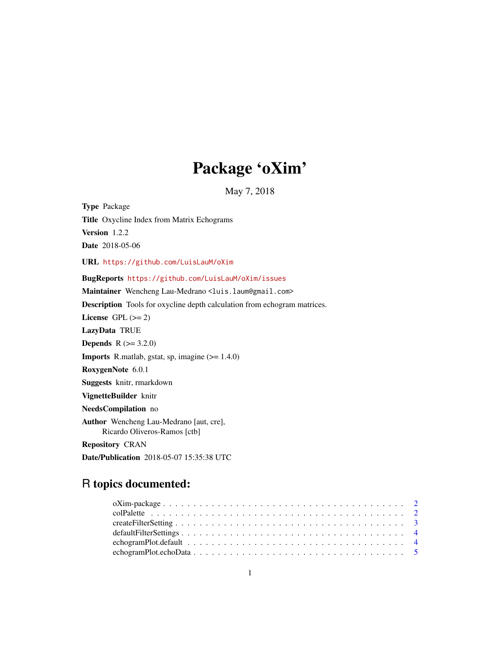## Package 'oXim'

May 7, 2018

<span id="page-0-0"></span>Type Package Title Oxycline Index from Matrix Echograms Version 1.2.2 Date 2018-05-06 URL <https://github.com/LuisLauM/oXim> BugReports <https://github.com/LuisLauM/oXim/issues> Maintainer Wencheng Lau-Medrano <luis.laum@gmail.com> Description Tools for oxycline depth calculation from echogram matrices. License GPL  $(>= 2)$ LazyData TRUE **Depends** R  $(>= 3.2.0)$ **Imports** R.matlab, gstat, sp, imagine  $(>= 1.4.0)$ RoxygenNote 6.0.1 Suggests knitr, rmarkdown VignetteBuilder knitr NeedsCompilation no Author Wencheng Lau-Medrano [aut, cre], Ricardo Oliveros-Ramos [ctb] Repository CRAN Date/Publication 2018-05-07 15:35:38 UTC

## R topics documented: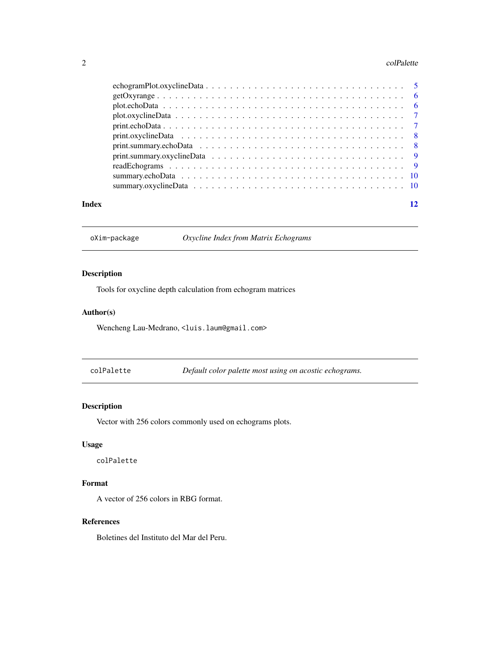#### <span id="page-1-0"></span>2 colPalette contract to the collection of the collection of the collection of the collection of the collection of the collection of the collection of the collection of the collection of the collection of the collection of

#### **Index** [12](#page-11-0)

oXim-package *Oxycline Index from Matrix Echograms*

## Description

Tools for oxycline depth calculation from echogram matrices

## Author(s)

Wencheng Lau-Medrano, <luis.laum@gmail.com>

| colPalette |  |  | Default color palette most using on acostic echograms. |
|------------|--|--|--------------------------------------------------------|
|------------|--|--|--------------------------------------------------------|

## Description

Vector with 256 colors commonly used on echograms plots.

## Usage

colPalette

## Format

A vector of 256 colors in RBG format.

#### References

Boletines del Instituto del Mar del Peru.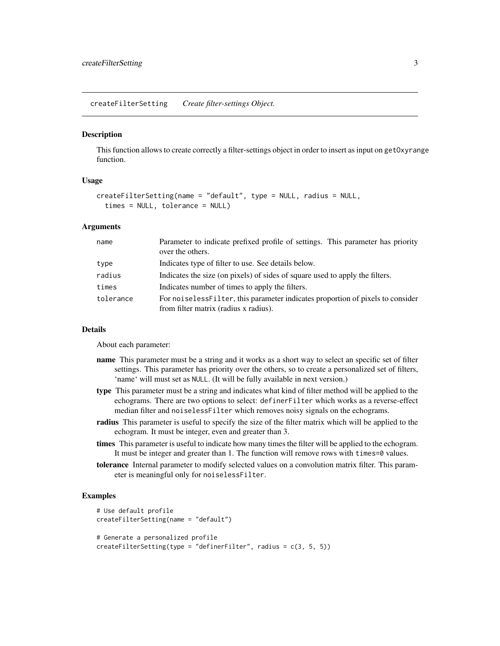<span id="page-2-1"></span><span id="page-2-0"></span>createFilterSetting *Create filter-settings Object.*

#### Description

This function allows to create correctly a filter-settings object in order to insert as input on getOxyrange function.

#### Usage

```
createFilterSetting(name = "default", type = NULL, radius = NULL,
  times = NULL, tolerance = NULL)
```
#### Arguments

| name      | Parameter to indicate prefixed profile of settings. This parameter has priority<br>over the others.                       |
|-----------|---------------------------------------------------------------------------------------------------------------------------|
| type      | Indicates type of filter to use. See details below.                                                                       |
| radius    | Indicates the size (on pixels) of sides of square used to apply the filters.                                              |
| times     | Indicates number of times to apply the filters.                                                                           |
| tolerance | For noi seless Filter, this parameter indicates proportion of pixels to consider<br>from filter matrix (radius x radius). |

#### Details

About each parameter:

- name This parameter must be a string and it works as a short way to select an specific set of filter settings. This parameter has priority over the others, so to create a personalized set of filters, 'name' will must set as NULL. (It will be fully available in next version.)
- type This parameter must be a string and indicates what kind of filter method will be applied to the echograms. There are two options to select: definerFilter which works as a reverse-effect median filter and noiselessFilter which removes noisy signals on the echograms.
- radius This parameter is useful to specify the size of the filter matrix which will be applied to the echogram. It must be integer, even and greater than 3.
- times This parameter is useful to indicate how many times the filter will be applied to the echogram. It must be integer and greater than 1. The function will remove rows with times=0 values.
- tolerance Internal parameter to modify selected values on a convolution matrix filter. This parameter is meaningful only for noiselessFilter.

#### Examples

```
# Use default profile
createFilterSetting(name = "default")
# Generate a personalized profile
createFilterSetting(type = "definerFilter", radius = c(3, 5, 5))
```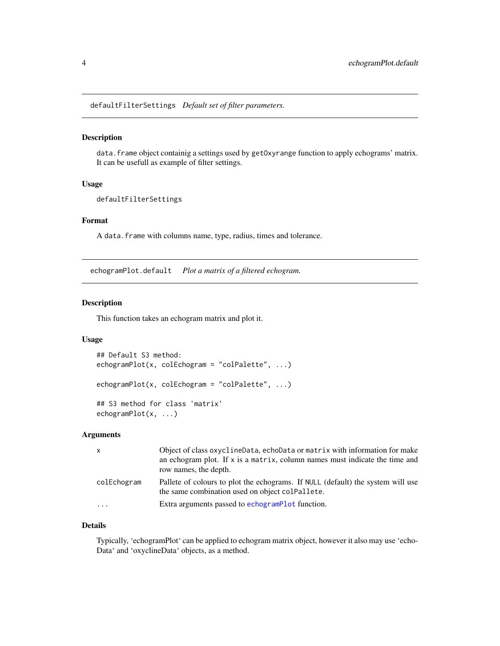<span id="page-3-0"></span>defaultFilterSettings *Default set of filter parameters.*

#### Description

data. frame object containig a settings used by getOxyrange function to apply echograms' matrix. It can be usefull as example of filter settings.

## Usage

```
defaultFilterSettings
```
## Format

A data.frame with columns name, type, radius, times and tolerance.

echogramPlot.default *Plot a matrix of a filtered echogram.*

#### <span id="page-3-1"></span>Description

This function takes an echogram matrix and plot it.

#### Usage

```
## Default S3 method:
echogramPlot(x, colEchogram = "colPalette", ...)echogramPlot(x, colEchogram = "colPalette", ...)## S3 method for class 'matrix'
echogramPlot(x, ...)
```
#### Arguments

| $\mathsf{x}$ | Object of class oxyclineData, echoData or matrix with information for make<br>an echogram plot. If $x$ is a matrix, column names must indicate the time and<br>row names, the depth. |
|--------------|--------------------------------------------------------------------------------------------------------------------------------------------------------------------------------------|
| colEchogram  | Pallete of colours to plot the echograms. If NULL (default) the system will use<br>the same combination used on object colPallete.                                                   |
| $\cdot$      | Extra arguments passed to echogramPlot function.                                                                                                                                     |

## Details

Typically, 'echogramPlot' can be applied to echogram matrix object, however it also may use 'echo-Data' and 'oxyclineData' objects, as a method.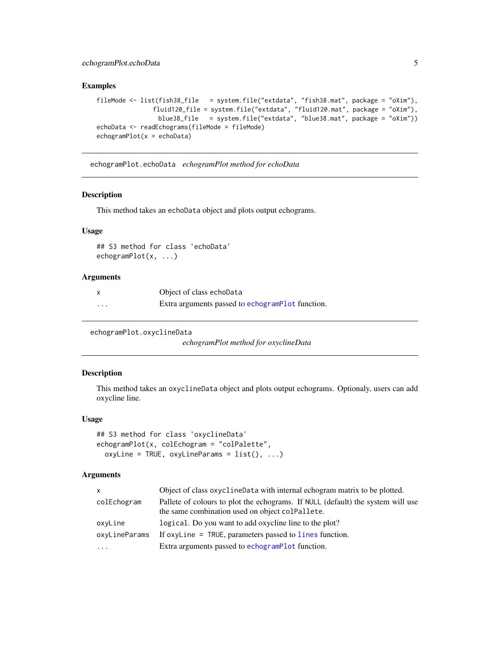## <span id="page-4-0"></span>echogramPlot.echoData 5

## Examples

```
fileMode <- list(fish38_file = system.file("extdata", "fish38.mat", package = "oXim"),
               fluid120_file = system.file("extdata", "fluid120.mat", package = "oXim"),
                blue38_file = system.file("extdata", "blue38.mat", package = "oXim"))
echoData <- readEchograms(fileMode = fileMode)
echogramPlot(x = echoData)
```
echogramPlot.echoData *echogramPlot method for echoData*

#### Description

This method takes an echoData object and plots output echograms.

## Usage

## S3 method for class 'echoData' echogramPlot(x, ...)

#### Arguments

|          | Object of class echoData                         |
|----------|--------------------------------------------------|
| $\cdots$ | Extra arguments passed to echogramPlot function. |

echogramPlot.oxyclineData

*echogramPlot method for oxyclineData*

## Description

This method takes an oxyclineData object and plots output echograms. Optionaly, users can add oxycline line.

#### Usage

```
## S3 method for class 'oxyclineData'
echogramPlot(x, colEchogram = "colPalette",
  oxyLine = TRUE, oxyLineParameters = list(), ...)
```

| $\mathsf{x}$  | Object of class oxycline Data with internal echogram matrix to be plotted.                                                         |
|---------------|------------------------------------------------------------------------------------------------------------------------------------|
| colEchogram   | Pallete of colours to plot the echograms. If NULL (default) the system will use<br>the same combination used on object coleallete. |
| oxyLine       | logical. Do you want to add oxycline line to the plot?                                                                             |
| oxyLineParams | If oxyline $=$ TRUE, parameters passed to lines function.                                                                          |
| $\cdots$      | Extra arguments passed to echogramPlot function.                                                                                   |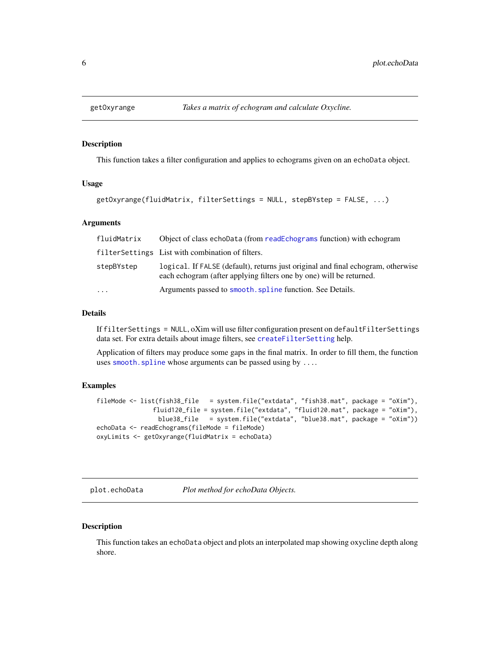<span id="page-5-0"></span>

#### **Description**

This function takes a filter configuration and applies to echograms given on an echoData object.

#### Usage

```
getOxyrange(fluidMatrix, filterSettings = NULL, stepBYstep = FALSE, ...)
```
#### Arguments

| fluidMatrix | Object of class echoData (from readEchograms function) with echogram                                                                                    |
|-------------|---------------------------------------------------------------------------------------------------------------------------------------------------------|
|             | filter Settings List with combination of filters.                                                                                                       |
| stepBYstep  | logical. If FALSE (default), returns just original and final echogram, otherwise<br>each echogram (after applying filters one by one) will be returned. |
| $\cdots$    | Arguments passed to smooth, spline function. See Details.                                                                                               |

#### Details

If filterSettings = NULL, oXim will use filter configuration present on defaultFilterSettings data set. For extra details about image filters, see [createFilterSetting](#page-2-1) help.

Application of filters may produce some gaps in the final matrix. In order to fill them, the function uses [smooth.spline](#page-0-0) whose arguments can be passed using by ....

## Examples

```
fileMode <- list(fish38_file = system.file("extdata", "fish38.mat", package = "oXim"),
               fluid120_file = system.file("extdata", "fluid120.mat", package = "oXim"),
                blue38_file = system.file("extdata", "blue38.mat", package = "oXim"))
echoData <- readEchograms(fileMode = fileMode)
oxyLimits <- getOxyrange(fluidMatrix = echoData)
```
plot.echoData *Plot method for echoData Objects.*

#### Description

This function takes an echoData object and plots an interpolated map showing oxycline depth along shore.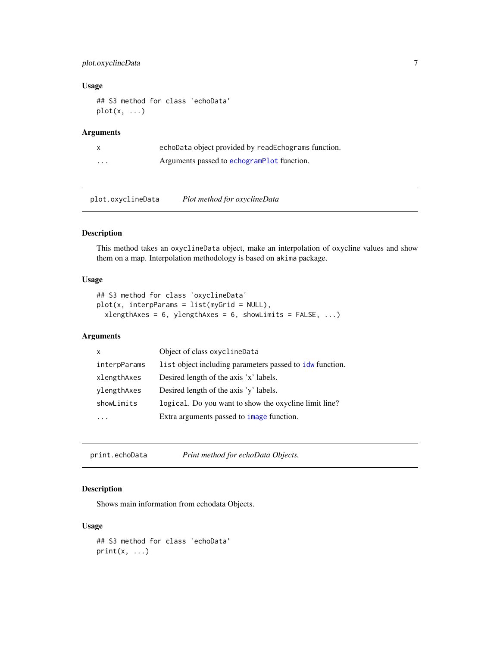## <span id="page-6-0"></span>plot.oxyclineData 7

#### Usage

## S3 method for class 'echoData'  $plot(x, \ldots)$ 

## Arguments

|          | echoData object provided by readEchograms function. |
|----------|-----------------------------------------------------|
| $\cdots$ | Arguments passed to echogramPlot function.          |

plot.oxyclineData *Plot method for oxyclineData*

## Description

This method takes an oxyclineData object, make an interpolation of oxycline values and show them on a map. Interpolation methodology is based on akima package.

#### Usage

```
## S3 method for class 'oxyclineData'
plot(x, interpParams = list(myGrid = NULL),
  xlengthAxes = 6, ylengthAxes = 6, showLimits = FALSE, ...)
```
## Arguments

| X            | Object of class oxyclineData                             |
|--------------|----------------------------------------------------------|
| interpParams | list object including parameters passed to idw function. |
| xlengthAxes  | Desired length of the axis 'x' labels.                   |
| ylengthAxes  | Desired length of the axis 'y' labels.                   |
| showLimits   | logical. Do you want to show the oxycline limit line?    |
|              | Extra arguments passed to <i>image</i> function.         |

print.echoData *Print method for echoData Objects.*

## Description

Shows main information from echodata Objects.

## Usage

```
## S3 method for class 'echoData'
print(x, \ldots)
```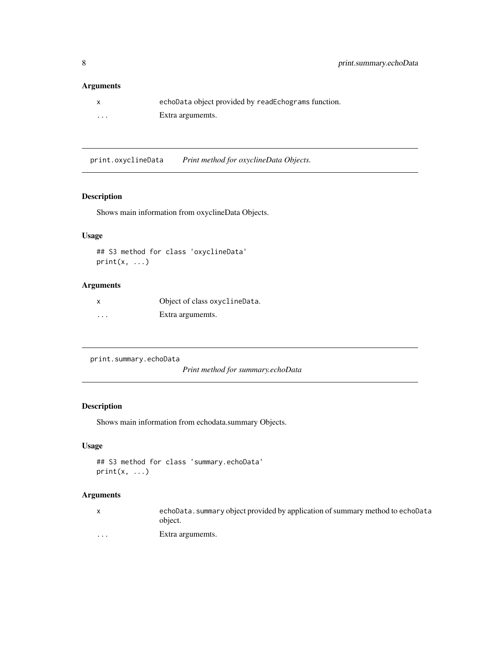## <span id="page-7-0"></span>Arguments

| $\mathsf{x}$ | echoData object provided by readEchograms function. |
|--------------|-----------------------------------------------------|
| .            | Extra argumemts.                                    |

print.oxyclineData *Print method for oxyclineData Objects.*

## Description

Shows main information from oxyclineData Objects.

## Usage

```
## S3 method for class 'oxyclineData'
print(x, \ldots)
```
## Arguments

| X                       | Object of class oxyclineData. |
|-------------------------|-------------------------------|
| $\cdot$ $\cdot$ $\cdot$ | Extra argumemts.              |

```
print.summary.echoData
```
*Print method for summary.echoData*

## Description

Shows main information from echodata.summary Objects.

## Usage

```
## S3 method for class 'summary.echoData'
print(x, \ldots)
```

|         | echoData. summary object provided by application of summary method to echoData<br>object. |
|---------|-------------------------------------------------------------------------------------------|
| $\cdot$ | Extra argumemts.                                                                          |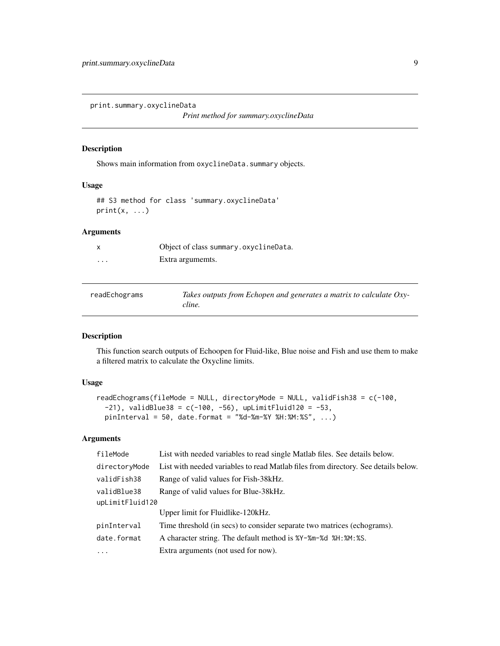<span id="page-8-0"></span>print.summary.oxyclineData

*Print method for summary.oxyclineData*

## Description

Shows main information from oxyclineData.summary objects.

#### Usage

## S3 method for class 'summary.oxyclineData'  $print(x, \ldots)$ 

## Arguments

|          | Object of class summary.oxyclineData. |
|----------|---------------------------------------|
| $\cdots$ | Extra argumemts.                      |

<span id="page-8-1"></span>

| readEchograms | Takes outputs from Echopen and generates a matrix to calculate Oxy- |
|---------------|---------------------------------------------------------------------|
|               | cline.                                                              |

## Description

This function search outputs of Echoopen for Fluid-like, Blue noise and Fish and use them to make a filtered matrix to calculate the Oxycline limits.

## Usage

```
readEchograms(fileMode = NULL, directoryMode = NULL, validFish38 = c(-100,
  -21), validBlue38 = c(-100, -56), upLimitFluid120 = -53,
 pinInterval = 50, date.format = "%d-%m-%Y %H:%M:%S", ...)
```

| fileMode        | List with needed variables to read single Matlab files. See details below.         |  |
|-----------------|------------------------------------------------------------------------------------|--|
| directoryMode   | List with needed variables to read Matlab files from directory. See details below. |  |
| validFish38     | Range of valid values for Fish-38 kHz.                                             |  |
| validBlue38     | Range of valid values for Blue-38 kHz.                                             |  |
| upLimitFluid120 |                                                                                    |  |
|                 | Upper limit for Fluidlike-120 kHz.                                                 |  |
| pinInterval     | Time threshold (in secs) to consider separate two matrices (echograms).            |  |
| date.format     | A character string. The default method is %Y-%m-%d %H: %M: %S.                     |  |
| $\ddots$        | Extra arguments (not used for now).                                                |  |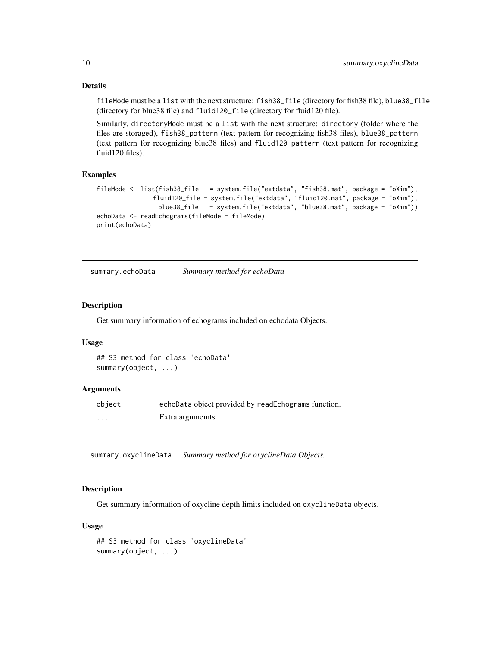## Details

fileMode must be a list with the next structure: fish38\_file (directory for fish38 file), blue38\_file (directory for blue38 file) and fluid120\_file (directory for fluid120 file).

Similarly, directoryMode must be a list with the next structure: directory (folder where the files are storaged), fish38\_pattern (text pattern for recognizing fish38 files), blue38\_pattern (text pattern for recognizing blue38 files) and fluid120\_pattern (text pattern for recognizing fluid120 files).

## Examples

```
fileMode <- list(fish38_file = system.file("extdata", "fish38.mat", package = "oXim"),
               fluid120_file = system.file("extdata", "fluid120.mat", package = "oXim"),
                 blue38_file = system.file("extdata", "blue38.mat", package = "oXim"))
echoData <- readEchograms(fileMode = fileMode)
print(echoData)
```
summary.echoData *Summary method for echoData*

#### Description

Get summary information of echograms included on echodata Objects.

#### Usage

## S3 method for class 'echoData' summary(object, ...)

#### Arguments

| object  | echoData object provided by readEchograms function. |
|---------|-----------------------------------------------------|
| $\cdot$ | Extra argumemts.                                    |

summary.oxyclineData *Summary method for oxyclineData Objects.*

## Description

Get summary information of oxycline depth limits included on oxyclineData objects.

#### Usage

```
## S3 method for class 'oxyclineData'
summary(object, ...)
```
<span id="page-9-0"></span>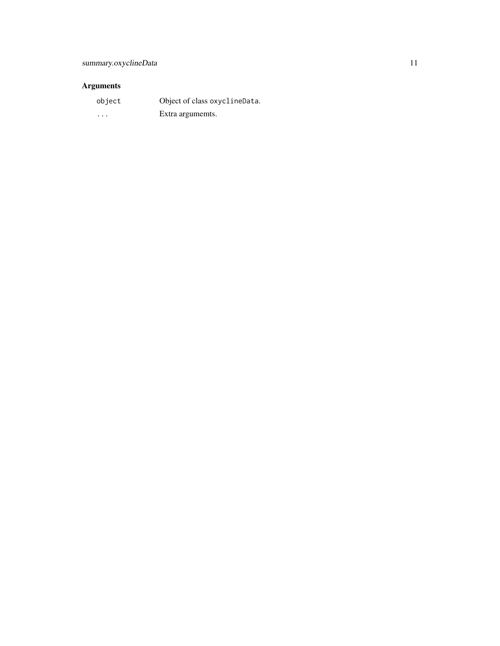| object   | Object of class oxyclineData. |
|----------|-------------------------------|
| $\cdots$ | Extra argumemts.              |